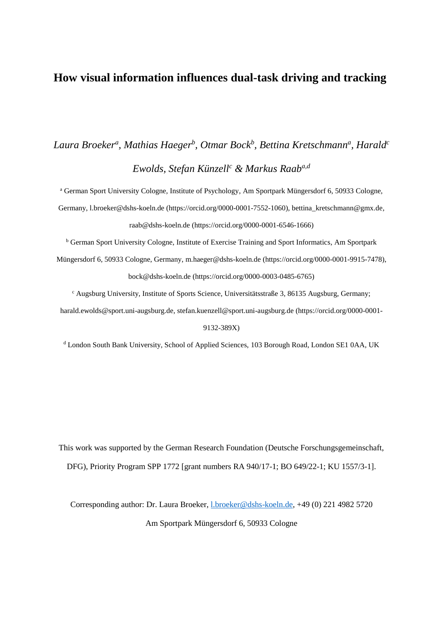# **How visual information influences dual-task driving and tracking**

# *Laura Broeker<sup>a</sup> , Mathias Haeger<sup>b</sup> , Otmar Bock<sup>b</sup> , Bettina Kretschmann<sup>a</sup> , Harald<sup>c</sup> Ewolds, Stefan Künzell<sup>c</sup> & Markus Raaba,d*

<sup>a</sup> German Sport University Cologne, Institute of Psychology, Am Sportpark Müngersdorf 6, 50933 Cologne, Germany[, l.broeker@dshs-koeln.de](mailto:l.broeker@dshs-koeln.de) (https://orcid.org/0000-0001-7552-1060), bettina kretschmann@gmx.de, [raab@dshs-koeln.de](mailto:raab@dshs-koeln.de) (https://orcid.org/0000-0001-6546-1666)

<sup>b</sup> German Sport University Cologne, Institute of Exercise Training and Sport Informatics, Am Sportpark

Müngersdorf 6, 50933 Cologne, Germany, [m.haeger@dshs-koeln.de](mailto:m.haeger@dshs-koeln.de) (https://orcid.org/0000-0001-9915-7478), [bock@dshs-koeln.de](mailto:bock@dshs-koeln.de) (https://orcid.org/0000-0003-0485-6765)

<sup>c</sup> Augsburg University, Institute of Sports Science, Universitätsstraße 3, 86135 Augsburg, Germany;

[harald.ewolds@sport.uni-augsburg.de,](mailto:harald.ewolds@sport.uni-augsburg.de) [stefan.kuenzell@sport.uni-augsburg.de](mailto:stefan.kuenzell@sport.uni-augsburg.de) (https://orcid.org/0000-0001-

9132-389X)

<sup>d</sup> London South Bank University, School of Applied Sciences, 103 Borough Road, London SE1 0AA, UK

This work was supported by the German Research Foundation (Deutsche Forschungsgemeinschaft, DFG), Priority Program SPP 1772 [grant numbers RA 940/17-1; BO 649/22-1; KU 1557/3-1].

Corresponding author: Dr. Laura Broeker, [l.broeker@dshs-koeln.de,](mailto:l.broeker@dshs-koeln.de) +49 (0) 221 4982 5720 Am Sportpark Müngersdorf 6, 50933 Cologne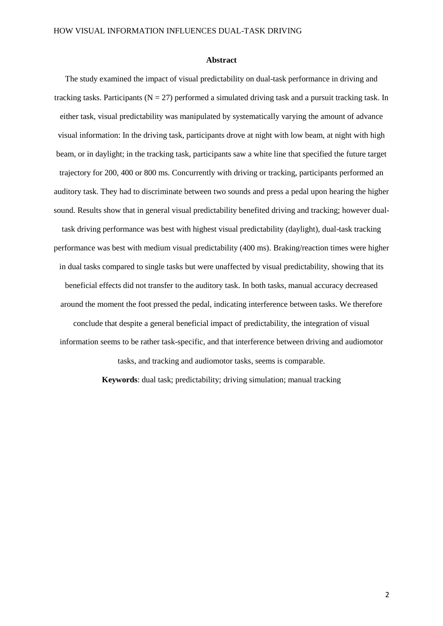#### **Abstract**

The study examined the impact of visual predictability on dual-task performance in driving and tracking tasks. Participants ( $N = 27$ ) performed a simulated driving task and a pursuit tracking task. In either task, visual predictability was manipulated by systematically varying the amount of advance visual information: In the driving task, participants drove at night with low beam, at night with high beam, or in daylight; in the tracking task, participants saw a white line that specified the future target trajectory for 200, 400 or 800 ms. Concurrently with driving or tracking, participants performed an auditory task. They had to discriminate between two sounds and press a pedal upon hearing the higher sound. Results show that in general visual predictability benefited driving and tracking; however dualtask driving performance was best with highest visual predictability (daylight), dual-task tracking performance was best with medium visual predictability (400 ms). Braking/reaction times were higher in dual tasks compared to single tasks but were unaffected by visual predictability, showing that its beneficial effects did not transfer to the auditory task. In both tasks, manual accuracy decreased around the moment the foot pressed the pedal, indicating interference between tasks. We therefore conclude that despite a general beneficial impact of predictability, the integration of visual information seems to be rather task-specific, and that interference between driving and audiomotor tasks, and tracking and audiomotor tasks, seems is comparable.

**Keywords**: dual task; predictability; driving simulation; manual tracking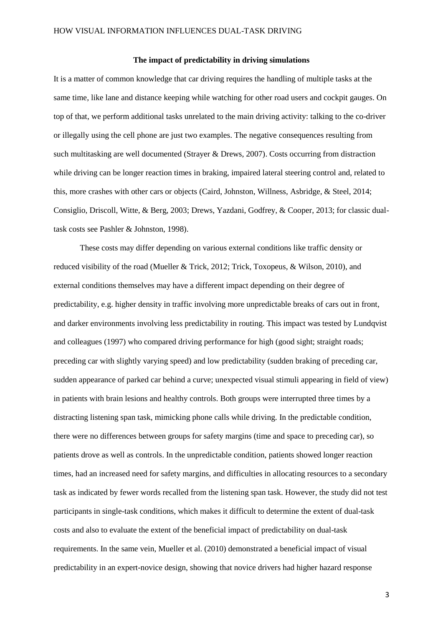#### **The impact of predictability in driving simulations**

It is a matter of common knowledge that car driving requires the handling of multiple tasks at the same time, like lane and distance keeping while watching for other road users and cockpit gauges. On top of that, we perform additional tasks unrelated to the main driving activity: talking to the co-driver or illegally using the cell phone are just two examples. The negative consequences resulting from such multitasking are well documented (Strayer & Drews, 2007). Costs occurring from distraction while driving can be longer reaction times in braking, impaired lateral steering control and, related to this, more crashes with other cars or objects (Caird, Johnston, Willness, Asbridge, & Steel, 2014; Consiglio, Driscoll, Witte, & Berg, 2003; Drews, Yazdani, Godfrey, & Cooper, 2013; for classic dualtask costs see Pashler & Johnston, 1998).

These costs may differ depending on various external conditions like traffic density or reduced visibility of the road (Mueller & Trick, 2012; Trick, Toxopeus, & Wilson, 2010), and external conditions themselves may have a different impact depending on their degree of predictability, e.g. higher density in traffic involving more unpredictable breaks of cars out in front, and darker environments involving less predictability in routing. This impact was tested by Lundqvist and colleagues (1997) who compared driving performance for high (good sight; straight roads; preceding car with slightly varying speed) and low predictability (sudden braking of preceding car, sudden appearance of parked car behind a curve; unexpected visual stimuli appearing in field of view) in patients with brain lesions and healthy controls. Both groups were interrupted three times by a distracting listening span task, mimicking phone calls while driving. In the predictable condition, there were no differences between groups for safety margins (time and space to preceding car), so patients drove as well as controls. In the unpredictable condition, patients showed longer reaction times, had an increased need for safety margins, and difficulties in allocating resources to a secondary task as indicated by fewer words recalled from the listening span task. However, the study did not test participants in single-task conditions, which makes it difficult to determine the extent of dual-task costs and also to evaluate the extent of the beneficial impact of predictability on dual-task requirements. In the same vein, Mueller et al. (2010) demonstrated a beneficial impact of visual predictability in an expert-novice design, showing that novice drivers had higher hazard response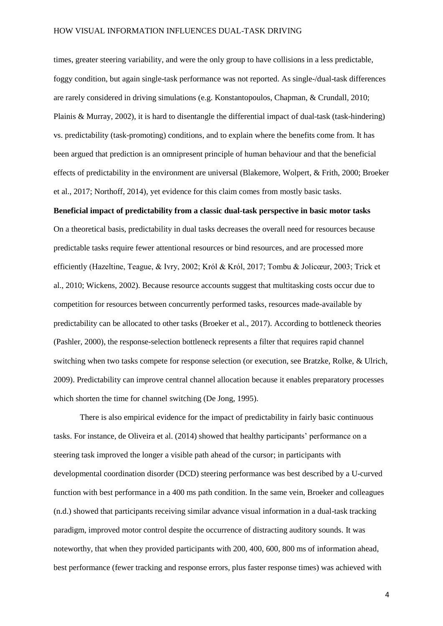times, greater steering variability, and were the only group to have collisions in a less predictable, foggy condition, but again single-task performance was not reported. As single-/dual-task differences are rarely considered in driving simulations (e.g. Konstantopoulos, Chapman, & Crundall, 2010; Plainis & Murray, 2002), it is hard to disentangle the differential impact of dual-task (task-hindering) vs. predictability (task-promoting) conditions, and to explain where the benefits come from. It has been argued that prediction is an omnipresent principle of human behaviour and that the beneficial effects of predictability in the environment are universal (Blakemore, Wolpert, & Frith, 2000; Broeker et al., 2017; Northoff, 2014), yet evidence for this claim comes from mostly basic tasks.

# **Beneficial impact of predictability from a classic dual-task perspective in basic motor tasks**

On a theoretical basis, predictability in dual tasks decreases the overall need for resources because predictable tasks require fewer attentional resources or bind resources, and are processed more efficiently (Hazeltine, Teague, & Ivry, 2002; Król & Król, 2017; Tombu & Jolicœur, 2003; Trick et al., 2010; Wickens, 2002). Because resource accounts suggest that multitasking costs occur due to competition for resources between concurrently performed tasks, resources made-available by predictability can be allocated to other tasks (Broeker et al., 2017). According to bottleneck theories (Pashler, 2000), the response-selection bottleneck represents a filter that requires rapid channel switching when two tasks compete for response selection (or execution, see Bratzke, Rolke, & Ulrich, 2009). Predictability can improve central channel allocation because it enables preparatory processes which shorten the time for channel switching (De Jong, 1995).

There is also empirical evidence for the impact of predictability in fairly basic continuous tasks. For instance, de Oliveira et al. (2014) showed that healthy participants' performance on a steering task improved the longer a visible path ahead of the cursor; in participants with developmental coordination disorder (DCD) steering performance was best described by a U-curved function with best performance in a 400 ms path condition. In the same vein, Broeker and colleagues (n.d.) showed that participants receiving similar advance visual information in a dual-task tracking paradigm, improved motor control despite the occurrence of distracting auditory sounds. It was noteworthy, that when they provided participants with 200, 400, 600, 800 ms of information ahead, best performance (fewer tracking and response errors, plus faster response times) was achieved with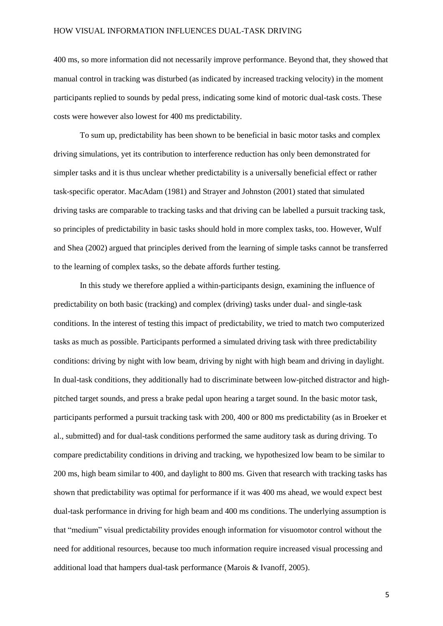400 ms, so more information did not necessarily improve performance. Beyond that, they showed that manual control in tracking was disturbed (as indicated by increased tracking velocity) in the moment participants replied to sounds by pedal press, indicating some kind of motoric dual-task costs. These costs were however also lowest for 400 ms predictability.

To sum up, predictability has been shown to be beneficial in basic motor tasks and complex driving simulations, yet its contribution to interference reduction has only been demonstrated for simpler tasks and it is thus unclear whether predictability is a universally beneficial effect or rather task-specific operator. MacAdam (1981) and Strayer and Johnston (2001) stated that simulated driving tasks are comparable to tracking tasks and that driving can be labelled a pursuit tracking task, so principles of predictability in basic tasks should hold in more complex tasks, too. However, Wulf and Shea (2002) argued that principles derived from the learning of simple tasks cannot be transferred to the learning of complex tasks, so the debate affords further testing.

In this study we therefore applied a within-participants design, examining the influence of predictability on both basic (tracking) and complex (driving) tasks under dual- and single-task conditions. In the interest of testing this impact of predictability, we tried to match two computerized tasks as much as possible. Participants performed a simulated driving task with three predictability conditions: driving by night with low beam, driving by night with high beam and driving in daylight. In dual-task conditions, they additionally had to discriminate between low-pitched distractor and highpitched target sounds, and press a brake pedal upon hearing a target sound. In the basic motor task, participants performed a pursuit tracking task with 200, 400 or 800 ms predictability (as in Broeker et al., submitted) and for dual-task conditions performed the same auditory task as during driving. To compare predictability conditions in driving and tracking, we hypothesized low beam to be similar to 200 ms, high beam similar to 400, and daylight to 800 ms. Given that research with tracking tasks has shown that predictability was optimal for performance if it was 400 ms ahead, we would expect best dual-task performance in driving for high beam and 400 ms conditions. The underlying assumption is that "medium" visual predictability provides enough information for visuomotor control without the need for additional resources, because too much information require increased visual processing and additional load that hampers dual-task performance (Marois & Ivanoff, 2005).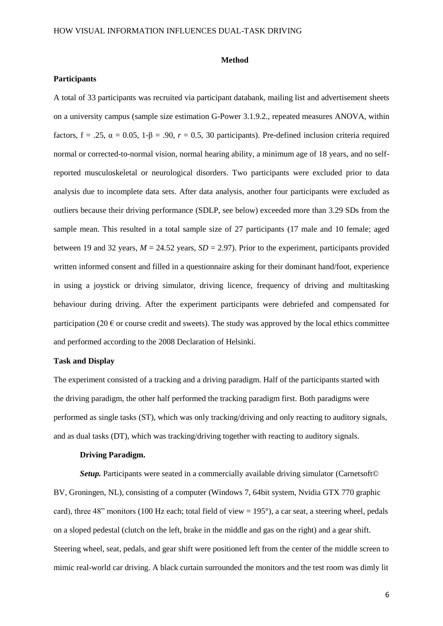#### **Method**

# **Participants**

A total of 33 participants was recruited via participant databank, mailing list and advertisement sheets on a university campus (sample size estimation G-Power 3.1.9.2., repeated measures ANOVA, within factors,  $f = .25$ ,  $\alpha = 0.05$ ,  $1-\beta = .90$ ,  $r = 0.5$ , 30 participants). Pre-defined inclusion criteria required normal or corrected-to-normal vision, normal hearing ability, a minimum age of 18 years, and no selfreported musculoskeletal or neurological disorders. Two participants were excluded prior to data analysis due to incomplete data sets. After data analysis, another four participants were excluded as outliers because their driving performance (SDLP, see below) exceeded more than 3.29 SDs from the sample mean. This resulted in a total sample size of 27 participants (17 male and 10 female; aged between 19 and 32 years,  $M = 24.52$  years,  $SD = 2.97$ ). Prior to the experiment, participants provided written informed consent and filled in a questionnaire asking for their dominant hand/foot, experience in using a joystick or driving simulator, driving licence, frequency of driving and multitasking behaviour during driving. After the experiment participants were debriefed and compensated for participation (20  $\epsilon$  or course credit and sweets). The study was approved by the local ethics committee and performed according to the 2008 Declaration of Helsinki.

# **Task and Display**

The experiment consisted of a tracking and a driving paradigm. Half of the participants started with the driving paradigm, the other half performed the tracking paradigm first. Both paradigms were performed as single tasks (ST), which was only tracking/driving and only reacting to auditory signals, and as dual tasks (DT), which was tracking/driving together with reacting to auditory signals.

#### **Driving Paradigm.**

**Setup.** Participants were seated in a commercially available driving simulator (Carnetsoft© BV, Groningen, NL), consisting of a computer (Windows 7, 64bit system, Nvidia GTX 770 graphic card), three 48" monitors (100 Hz each; total field of view =  $195^{\circ}$ ), a car seat, a steering wheel, pedals on a sloped pedestal (clutch on the left, brake in the middle and gas on the right) and a gear shift. Steering wheel, seat, pedals, and gear shift were positioned left from the center of the middle screen to mimic real-world car driving. A black curtain surrounded the monitors and the test room was dimly lit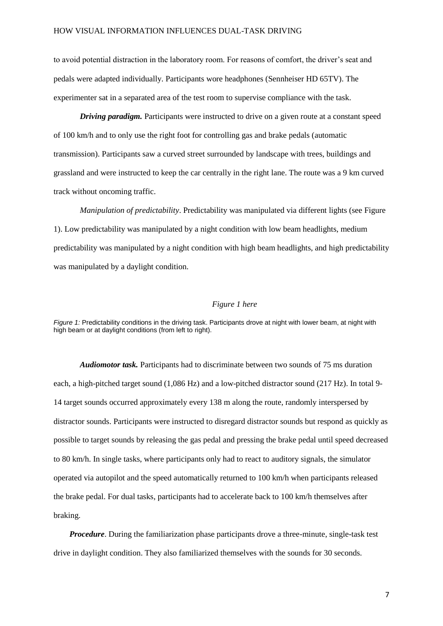to avoid potential distraction in the laboratory room. For reasons of comfort, the driver's seat and pedals were adapted individually. Participants wore headphones (Sennheiser HD 65TV). The experimenter sat in a separated area of the test room to supervise compliance with the task.

*Driving paradigm.* Participants were instructed to drive on a given route at a constant speed of 100 km/h and to only use the right foot for controlling gas and brake pedals (automatic transmission). Participants saw a curved street surrounded by landscape with trees, buildings and grassland and were instructed to keep the car centrally in the right lane. The route was a 9 km curved track without oncoming traffic.

*Manipulation of predictability*. Predictability was manipulated via different lights (see Figure 1). Low predictability was manipulated by a night condition with low beam headlights, medium predictability was manipulated by a night condition with high beam headlights, and high predictability was manipulated by a daylight condition.

# *Figure 1 here*

*Figure 1:* Predictability conditions in the driving task. Participants drove at night with lower beam, at night with high beam or at daylight conditions (from left to right).

*Audiomotor task.* Participants had to discriminate between two sounds of 75 ms duration each, a high-pitched target sound (1,086 Hz) and a low-pitched distractor sound (217 Hz). In total 9- 14 target sounds occurred approximately every 138 m along the route, randomly interspersed by distractor sounds. Participants were instructed to disregard distractor sounds but respond as quickly as possible to target sounds by releasing the gas pedal and pressing the brake pedal until speed decreased to 80 km/h. In single tasks, where participants only had to react to auditory signals, the simulator operated via autopilot and the speed automatically returned to 100 km/h when participants released the brake pedal. For dual tasks, participants had to accelerate back to 100 km/h themselves after braking.

*Procedure*. During the familiarization phase participants drove a three-minute, single-task test drive in daylight condition. They also familiarized themselves with the sounds for 30 seconds.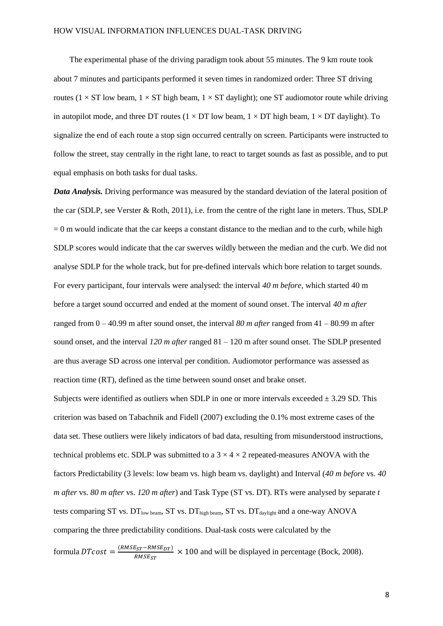The experimental phase of the driving paradigm took about 55 minutes. The 9 km route took about 7 minutes and participants performed it seven times in randomized order: Three ST driving routes ( $1 \times ST$  low beam,  $1 \times ST$  high beam,  $1 \times ST$  daylight); one ST audiomotor route while driving in autopilot mode, and three DT routes ( $1 \times DT$  low beam,  $1 \times DT$  high beam,  $1 \times DT$  daylight). To signalize the end of each route a stop sign occurred centrally on screen. Participants were instructed to follow the street, stay centrally in the right lane, to react to target sounds as fast as possible, and to put equal emphasis on both tasks for dual tasks.

*Data Analysis.* Driving performance was measured by the standard deviation of the lateral position of the car (SDLP, see Verster & Roth, 2011), i.e. from the centre of the right lane in meters. Thus, SDLP  $= 0$  m would indicate that the car keeps a constant distance to the median and to the curb, while high SDLP scores would indicate that the car swerves wildly between the median and the curb. We did not analyse SDLP for the whole track, but for pre-defined intervals which bore relation to target sounds. For every participant, four intervals were analysed: the interval *40 m before,* which started 40 m before a target sound occurred and ended at the moment of sound onset. The interval *40 m after* ranged from 0 – 40.99 m after sound onset, the interval *80 m after* ranged from 41 – 80.99 m after sound onset, and the interval *120 m after* ranged 81 – 120 m after sound onset. The SDLP presented are thus average SD across one interval per condition. Audiomotor performance was assessed as reaction time (RT), defined as the time between sound onset and brake onset.

Subjects were identified as outliers when SDLP in one or more intervals exceeded  $\pm$  3.29 SD. This criterion was based on Tabachnik and Fidell (2007) excluding the 0.1% most extreme cases of the data set. These outliers were likely indicators of bad data, resulting from misunderstood instructions, technical problems etc. SDLP was submitted to a  $3 \times 4 \times 2$  repeated-measures ANOVA with the factors Predictability (3 levels: low beam vs. high beam vs. daylight) and Interval (*40 m before* vs. *40 m after* vs. *80 m after* vs. *120 m after*) and Task Type (ST vs. DT). RTs were analysed by separate *t* tests comparing ST vs. DT<sub>low beam</sub>, ST vs. DT<sub>high beam</sub>, ST vs. DT<sub>daylight</sub> and a one-way ANOVA comparing the three predictability conditions. Dual-task costs were calculated by the formula  $D T cost = \frac{(RMSE_{ST} - RMSE_{DT})}{DMSE}$  $\frac{g_{ST}-g_{MSEDT}}{RMSE_{ST}} \times 100$  and will be displayed in percentage (Bock, 2008).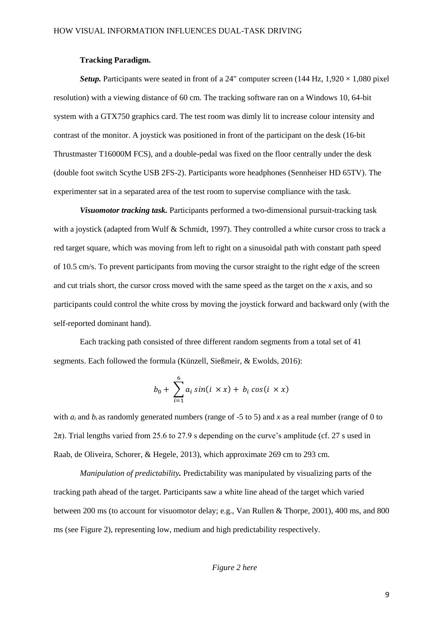# **Tracking Paradigm.**

*Setup.* Participants were seated in front of a 24" computer screen (144 Hz,  $1,920 \times 1,080$  pixel resolution) with a viewing distance of 60 cm. The tracking software ran on a Windows 10, 64-bit system with a GTX750 graphics card. The test room was dimly lit to increase colour intensity and contrast of the monitor. A joystick was positioned in front of the participant on the desk (16-bit Thrustmaster T16000M FCS), and a double-pedal was fixed on the floor centrally under the desk (double foot switch Scythe USB 2FS-2). Participants wore headphones (Sennheiser HD 65TV). The experimenter sat in a separated area of the test room to supervise compliance with the task.

*Visuomotor tracking task.* Participants performed a two-dimensional pursuit-tracking task with a joystick (adapted from Wulf & Schmidt, 1997). They controlled a white cursor cross to track a red target square, which was moving from left to right on a sinusoidal path with constant path speed of 10.5 cm/s. To prevent participants from moving the cursor straight to the right edge of the screen and cut trials short, the cursor cross moved with the same speed as the target on the *x* axis, and so participants could control the white cross by moving the joystick forward and backward only (with the self-reported dominant hand).

Each tracking path consisted of three different random segments from a total set of 41 segments. Each followed the formula (Künzell, Sießmeir, & Ewolds, 2016):

$$
b_0 + \sum_{i=1}^{6} a_i \sin(i \times x) + b_i \cos(i \times x)
$$

with  $a_i$  and  $b_i$  as randomly generated numbers (range of -5 to 5) and x as a real number (range of 0 to 2π). Trial lengths varied from 25.6 to 27.9 s depending on the curve's amplitude (cf. 27 s used in Raab, de Oliveira, Schorer, & Hegele, 2013), which approximate 269 cm to 293 cm.

*Manipulation of predictability.* Predictability was manipulated by visualizing parts of the tracking path ahead of the target. Participants saw a white line ahead of the target which varied between 200 ms (to account for visuomotor delay; e.g., Van Rullen & Thorpe, 2001), 400 ms, and 800 ms (see Figure 2), representing low, medium and high predictability respectively.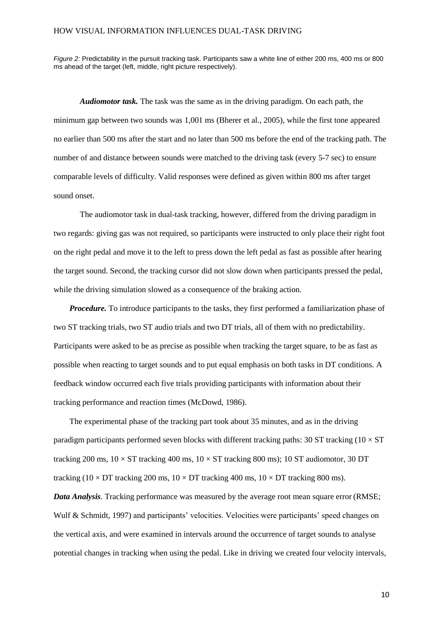*Figure 2:* Predictability in the pursuit tracking task. Participants saw a white line of either 200 ms, 400 ms or 800 ms ahead of the target (left, middle, right picture respectively).

*Audiomotor task.* The task was the same as in the driving paradigm. On each path, the minimum gap between two sounds was 1,001 ms (Bherer et al., 2005), while the first tone appeared no earlier than 500 ms after the start and no later than 500 ms before the end of the tracking path. The number of and distance between sounds were matched to the driving task (every 5-7 sec) to ensure comparable levels of difficulty. Valid responses were defined as given within 800 ms after target sound onset.

The audiomotor task in dual-task tracking, however, differed from the driving paradigm in two regards: giving gas was not required, so participants were instructed to only place their right foot on the right pedal and move it to the left to press down the left pedal as fast as possible after hearing the target sound. Second, the tracking cursor did not slow down when participants pressed the pedal, while the driving simulation slowed as a consequence of the braking action.

*Procedure.* To introduce participants to the tasks, they first performed a familiarization phase of two ST tracking trials, two ST audio trials and two DT trials, all of them with no predictability. Participants were asked to be as precise as possible when tracking the target square, to be as fast as possible when reacting to target sounds and to put equal emphasis on both tasks in DT conditions. A feedback window occurred each five trials providing participants with information about their tracking performance and reaction times (McDowd, 1986).

The experimental phase of the tracking part took about 35 minutes, and as in the driving paradigm participants performed seven blocks with different tracking paths: 30 ST tracking ( $10 \times ST$ ) tracking 200 ms,  $10 \times ST$  tracking 400 ms,  $10 \times ST$  tracking 800 ms); 10 ST audiomotor, 30 DT tracking (10  $\times$  DT tracking 200 ms, 10  $\times$  DT tracking 400 ms, 10  $\times$  DT tracking 800 ms). *Data Analysis*. Tracking performance was measured by the average root mean square error (RMSE; Wulf & Schmidt, 1997) and participants' velocities. Velocities were participants' speed changes on the vertical axis, and were examined in intervals around the occurrence of target sounds to analyse potential changes in tracking when using the pedal. Like in driving we created four velocity intervals,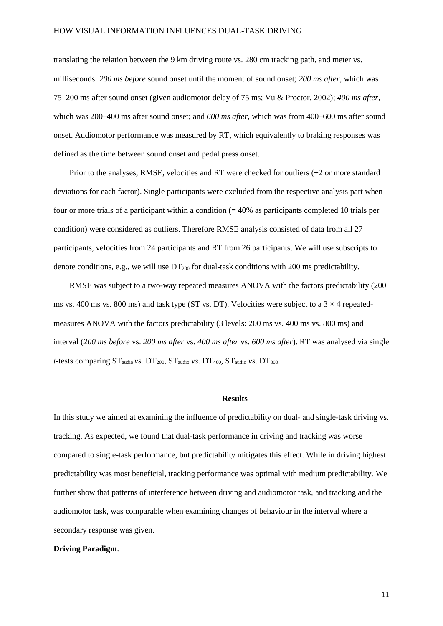translating the relation between the 9 km driving route vs. 280 cm tracking path, and meter vs. milliseconds: *200 ms before* sound onset until the moment of sound onset; *200 ms after*, which was 75–200 ms after sound onset (given audiomotor delay of 75 ms; Vu & Proctor, 2002); *400 ms after*, which was 200–400 ms after sound onset; and *600 ms after*, which was from 400–600 ms after sound onset. Audiomotor performance was measured by RT, which equivalently to braking responses was defined as the time between sound onset and pedal press onset.

Prior to the analyses, RMSE, velocities and RT were checked for outliers (+2 or more standard deviations for each factor). Single participants were excluded from the respective analysis part when four or more trials of a participant within a condition  $(= 40\%$  as participants completed 10 trials per condition) were considered as outliers. Therefore RMSE analysis consisted of data from all 27 participants, velocities from 24 participants and RT from 26 participants. We will use subscripts to denote conditions, e.g., we will use  $DT_{200}$  for dual-task conditions with 200 ms predictability.

RMSE was subject to a two-way repeated measures ANOVA with the factors predictability (200 ms vs. 400 ms vs. 800 ms) and task type (ST vs. DT). Velocities were subject to a  $3 \times 4$  repeatedmeasures ANOVA with the factors predictability (3 levels: 200 ms vs. 400 ms vs. 800 ms) and interval (*200 ms before* vs. *200 ms after* vs. *400 ms after* vs. *600 ms after*). RT was analysed via single *t*-tests comparing  $ST_{\text{audio}}$  *vs.*  $DT_{\text{200}}$ ,  $ST_{\text{audio}}$  *vs.*  $DT_{\text{400}}$ ,  $ST_{\text{audio}}$  *vs.*  $DT_{\text{800}}$ .

#### **Results**

In this study we aimed at examining the influence of predictability on dual- and single-task driving vs. tracking. As expected, we found that dual-task performance in driving and tracking was worse compared to single-task performance, but predictability mitigates this effect. While in driving highest predictability was most beneficial, tracking performance was optimal with medium predictability. We further show that patterns of interference between driving and audiomotor task, and tracking and the audiomotor task, was comparable when examining changes of behaviour in the interval where a secondary response was given.

#### **Driving Paradigm**.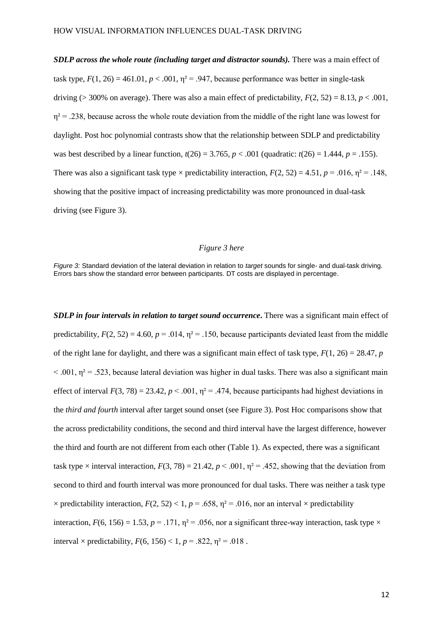**SDLP** across the whole route (including target and distractor sounds). There was a main effect of task type,  $F(1, 26) = 461.01$ ,  $p < .001$ ,  $p^2 = .947$ , because performance was better in single-task driving ( $>$  300% on average). There was also a main effect of predictability,  $F(2, 52) = 8.13$ ,  $p < .001$ ,  $\eta^2$  = .238, because across the whole route deviation from the middle of the right lane was lowest for daylight. Post hoc polynomial contrasts show that the relationship between SDLP and predictability was best described by a linear function,  $t(26) = 3.765$ ,  $p < .001$  (quadratic:  $t(26) = 1.444$ ,  $p = .155$ ). There was also a significant task type  $\times$  predictability interaction,  $F(2, 52) = 4.51$ ,  $p = .016$ ,  $p^2 = .148$ , showing that the positive impact of increasing predictability was more pronounced in dual-task driving (see Figure 3).

### *Figure 3 here*

*Figure 3:* Standard deviation of the lateral deviation in relation to *target* sounds for single- and dual-task driving. Errors bars show the standard error between participants. DT costs are displayed in percentage.

*SDLP in four intervals in relation to target sound occurrence***.** There was a significant main effect of predictability,  $F(2, 52) = 4.60$ ,  $p = .014$ ,  $p^2 = .150$ , because participants deviated least from the middle of the right lane for daylight, and there was a significant main effect of task type,  $F(1, 26) = 28.47$ , *p*  $\leq$ .001,  $n^2$  = .523, because lateral deviation was higher in dual tasks. There was also a significant main effect of interval  $F(3, 78) = 23.42$ ,  $p < .001$ ,  $\eta^2 = .474$ , because participants had highest deviations in the *third and fourth* interval after target sound onset (see Figure 3). Post Hoc comparisons show that the across predictability conditions, the second and third interval have the largest difference, however the third and fourth are not different from each other (Table 1). As expected, there was a significant task type  $\times$  interval interaction,  $F(3, 78) = 21.42$ ,  $p < .001$ ,  $\eta^2 = .452$ , showing that the deviation from second to third and fourth interval was more pronounced for dual tasks. There was neither a task type  $\times$  predictability interaction,  $F(2, 52) < 1$ ,  $p = .658$ ,  $\eta^2 = .016$ , nor an interval  $\times$  predictability interaction,  $F(6, 156) = 1.53$ ,  $p = .171$ ,  $p^2 = .056$ , nor a significant three-way interaction, task type  $\times$ interval  $\times$  predictability,  $F(6, 156) < 1, p = .822, n^2 = .018$ .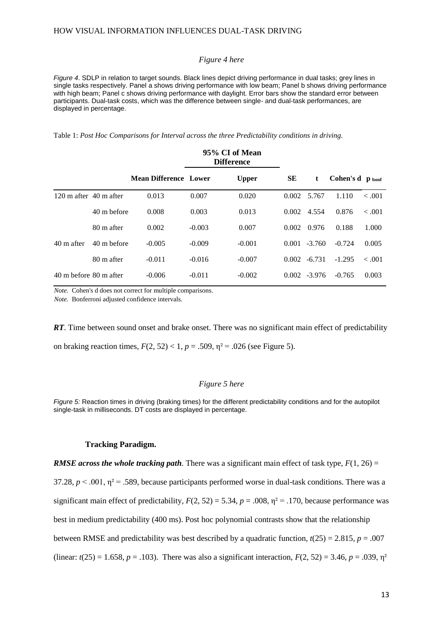#### *Figure 4 here*

*Figure 4*. SDLP in relation to target sounds. Black lines depict driving performance in dual tasks; grey lines in single tasks respectively. Panel a shows driving performance with low beam; Panel b shows driving performance with high beam; Panel c shows driving performance with daylight. Error bars show the standard error between participants. Dual-task costs, which was the difference between single- and dual-task performances, are displayed in percentage.

**95% CI of Mean** 

Table 1: *Post Hoc Comparisons for Interval across the three Predictability conditions in driving.*

|                          |             |                              | 95% CI of Mean<br><b>Difference</b> |              |       |          |                  |         |
|--------------------------|-------------|------------------------------|-------------------------------------|--------------|-------|----------|------------------|---------|
|                          |             | <b>Mean Difference Lower</b> |                                     | <b>Upper</b> | SЕ    | t        | Cohen's d p bonf |         |
| 120 m after $40$ m after |             | 0.013                        | 0.007                               | 0.020        | 0.002 | 5.767    | 1.110            | $-.001$ |
|                          | 40 m before | 0.008                        | 0.003                               | 0.013        | 0.002 | 4.554    | 0.876            | < .001  |
|                          | 80 m after  | 0.002                        | $-0.003$                            | 0.007        | 0.002 | 0.976    | 0.188            | 1.000   |
| 40 m after               | 40 m before | $-0.005$                     | $-0.009$                            | $-0.001$     | 0.001 | $-3.760$ | $-0.724$         | 0.005   |
|                          | 80 m after  | $-0.011$                     | $-0.016$                            | $-0.007$     | 0.002 | $-6.731$ | $-1.295$         | $-.001$ |
| 40 m before 80 m after   |             | $-0.006$                     | $-0.011$                            | $-0.002$     | 0.002 | $-3.976$ | $-0.765$         | 0.003   |

*Note.* Cohen's d does not correct for multiple comparisons.

*Note.* Bonferroni adjusted confidence intervals.

*RT*. Time between sound onset and brake onset. There was no significant main effect of predictability on braking reaction times,  $F(2, 52) < 1$ ,  $p = .509$ ,  $p^2 = .026$  (see Figure 5).

#### *Figure 5 here*

*Figure 5:* Reaction times in driving (braking times) for the different predictability conditions and for the autopilot single-task in milliseconds. DT costs are displayed in percentage.

#### **Tracking Paradigm.**

*RMSE across the whole tracking path.* There was a significant main effect of task type,  $F(1, 26) =$ 37.28,  $p < .001$ ,  $n^2 = .589$ , because participants performed worse in dual-task conditions. There was a significant main effect of predictability,  $F(2, 52) = 5.34$ ,  $p = .008$ ,  $n^2 = .170$ , because performance was best in medium predictability (400 ms). Post hoc polynomial contrasts show that the relationship between RMSE and predictability was best described by a quadratic function,  $t(25) = 2.815$ ,  $p = .007$ (linear: *t*(25) = 1.658, *p* = .103). There was also a significant interaction,  $F(2, 52) = 3.46$ ,  $p = .039$ ,  $\eta^2$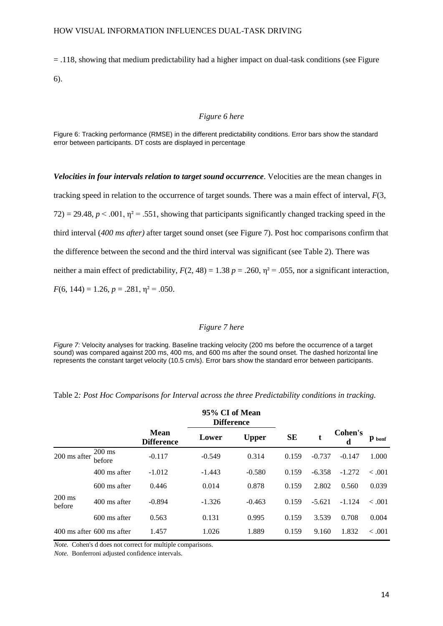= .118, showing that medium predictability had a higher impact on dual-task conditions (see Figure 6).

#### *Figure 6 here*

Figure 6: Tracking performance (RMSE) in the different predictability conditions. Error bars show the standard error between participants. DT costs are displayed in percentage

*Velocities in four intervals relation to target sound occurrence*. Velocities are the mean changes in tracking speed in relation to the occurrence of target sounds. There was a main effect of interval, *F*(3,  $72$ ) = 29.48,  $p < .001$ ,  $\eta^2$  = .551, showing that participants significantly changed tracking speed in the third interval (*400 ms after)* after target sound onset (see Figure 7). Post hoc comparisons confirm that the difference between the second and the third interval was significant (see Table 2). There was neither a main effect of predictability,  $F(2, 48) = 1.38 p = .260$ ,  $\eta^2 = .055$ , nor a significant interaction,  $F(6, 144) = 1.26, p = .281, n^2 = .050.$ 

#### *Figure 7 here*

*Figure 7:* Velocity analyses for tracking. Baseline tracking velocity (200 ms before the occurrence of a target sound) was compared against 200 ms, 400 ms, and 600 ms after the sound onset. The dashed horizontal line represents the constant target velocity (10.5 cm/s). Error bars show the standard error between participants.

Table 2*: Post Hoc Comparisons for Interval across the three Predictability conditions in tracking.*

|                            |                           |                                  | 95% CI of Mean<br><b>Difference</b> |              |           |          |              |               |
|----------------------------|---------------------------|----------------------------------|-------------------------------------|--------------|-----------|----------|--------------|---------------|
|                            |                           | <b>Mean</b><br><b>Difference</b> | Lower                               | <b>Upper</b> | <b>SE</b> | τ        | Cohen's<br>d | <b>p</b> bonf |
| 200 ms after               | $200$ ms<br>before        | $-0.117$                         | $-0.549$                            | 0.314        | 0.159     | $-0.737$ | $-0.147$     | 1.000         |
|                            | 400 ms after              | $-1.012$                         | $-1.443$                            | $-0.580$     | 0.159     | $-6.358$ | $-1.272$     | $-.001$       |
|                            | $600$ ms after            | 0.446                            | 0.014                               | 0.878        | 0.159     | 2.802    | 0.560        | 0.039         |
| $200 \text{ ms}$<br>before | $400$ ms after            | $-0.894$                         | $-1.326$                            | $-0.463$     | 0.159     | $-5.621$ | $-1.124$     | < 0.001       |
|                            | $600$ ms after            | 0.563                            | 0.131                               | 0.995        | 0.159     | 3.539    | 0.708        | 0.004         |
|                            | 400 ms after 600 ms after | 1.457                            | 1.026                               | 1.889        | 0.159     | 9.160    | 1.832        | $-.001$       |

*Note.* Cohen's d does not correct for multiple comparisons.

*Note.* Bonferroni adjusted confidence intervals.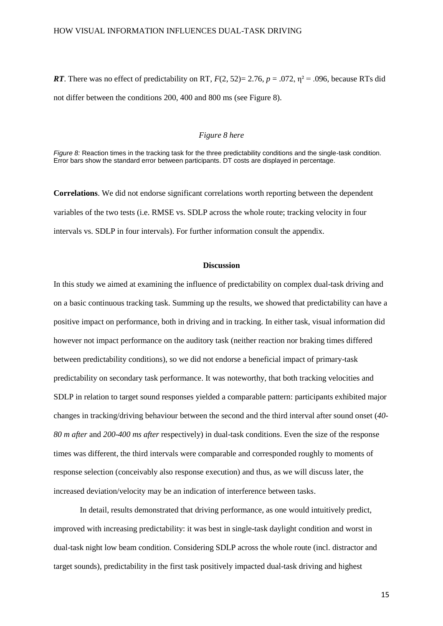*RT*. There was no effect of predictability on RT,  $F(2, 52) = 2.76$ ,  $p = .072$ ,  $n^2 = .096$ , because RTs did not differ between the conditions 200, 400 and 800 ms (see Figure 8).

# *Figure 8 here*

*Figure 8:* Reaction times in the tracking task for the three predictability conditions and the single-task condition. Error bars show the standard error between participants. DT costs are displayed in percentage.

**Correlations**. We did not endorse significant correlations worth reporting between the dependent variables of the two tests (i.e. RMSE vs. SDLP across the whole route; tracking velocity in four intervals vs. SDLP in four intervals). For further information consult the appendix.

#### **Discussion**

In this study we aimed at examining the influence of predictability on complex dual-task driving and on a basic continuous tracking task. Summing up the results, we showed that predictability can have a positive impact on performance, both in driving and in tracking. In either task, visual information did however not impact performance on the auditory task (neither reaction nor braking times differed between predictability conditions), so we did not endorse a beneficial impact of primary-task predictability on secondary task performance. It was noteworthy, that both tracking velocities and SDLP in relation to target sound responses yielded a comparable pattern: participants exhibited major changes in tracking/driving behaviour between the second and the third interval after sound onset (*40*- *80 m after* and *200*-*400 ms after* respectively) in dual-task conditions. Even the size of the response times was different, the third intervals were comparable and corresponded roughly to moments of response selection (conceivably also response execution) and thus, as we will discuss later, the increased deviation/velocity may be an indication of interference between tasks.

In detail, results demonstrated that driving performance, as one would intuitively predict, improved with increasing predictability: it was best in single-task daylight condition and worst in dual-task night low beam condition. Considering SDLP across the whole route (incl. distractor and target sounds), predictability in the first task positively impacted dual-task driving and highest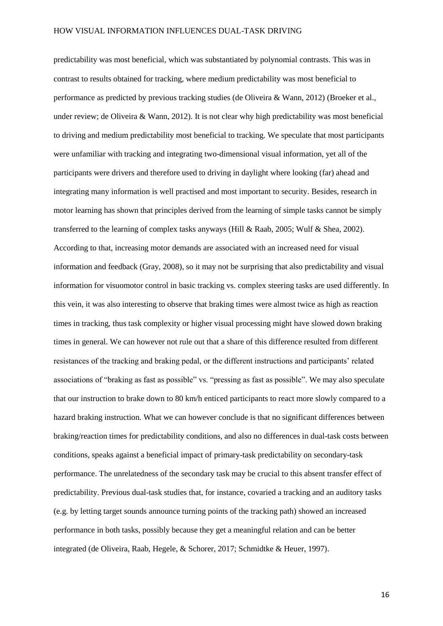predictability was most beneficial, which was substantiated by polynomial contrasts. This was in contrast to results obtained for tracking, where medium predictability was most beneficial to performance as predicted by previous tracking studies (de Oliveira & Wann, 2012) (Broeker et al., under review; de Oliveira & Wann, 2012). It is not clear why high predictability was most beneficial to driving and medium predictability most beneficial to tracking. We speculate that most participants were unfamiliar with tracking and integrating two-dimensional visual information, yet all of the participants were drivers and therefore used to driving in daylight where looking (far) ahead and integrating many information is well practised and most important to security. Besides, research in motor learning has shown that principles derived from the learning of simple tasks cannot be simply transferred to the learning of complex tasks anyways (Hill & Raab, 2005; Wulf & Shea, 2002). According to that, increasing motor demands are associated with an increased need for visual information and feedback (Gray, 2008), so it may not be surprising that also predictability and visual information for visuomotor control in basic tracking vs. complex steering tasks are used differently. In this vein, it was also interesting to observe that braking times were almost twice as high as reaction times in tracking, thus task complexity or higher visual processing might have slowed down braking times in general. We can however not rule out that a share of this difference resulted from different resistances of the tracking and braking pedal, or the different instructions and participants' related associations of "braking as fast as possible" vs. "pressing as fast as possible". We may also speculate that our instruction to brake down to 80 km/h enticed participants to react more slowly compared to a hazard braking instruction. What we can however conclude is that no significant differences between braking/reaction times for predictability conditions, and also no differences in dual-task costs between conditions, speaks against a beneficial impact of primary-task predictability on secondary-task performance. The unrelatedness of the secondary task may be crucial to this absent transfer effect of predictability. Previous dual-task studies that, for instance, covaried a tracking and an auditory tasks (e.g. by letting target sounds announce turning points of the tracking path) showed an increased performance in both tasks, possibly because they get a meaningful relation and can be better integrated (de Oliveira, Raab, Hegele, & Schorer, 2017; Schmidtke & Heuer, 1997).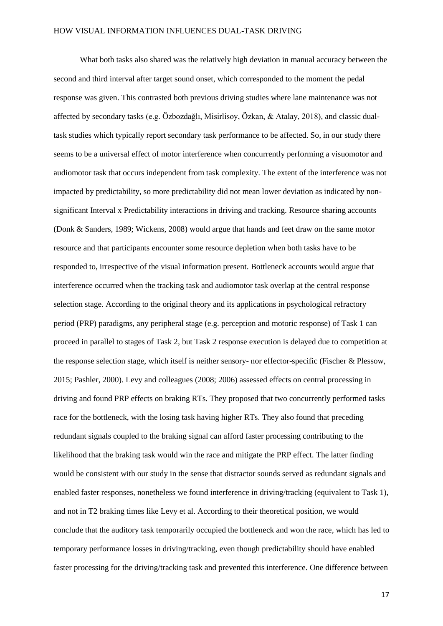What both tasks also shared was the relatively high deviation in manual accuracy between the second and third interval after target sound onset, which corresponded to the moment the pedal response was given. This contrasted both previous driving studies where lane maintenance was not affected by secondary tasks (e.g. Özbozdağlı, Misirlisoy, Özkan, & Atalay, 2018), and classic dualtask studies which typically report secondary task performance to be affected. So, in our study there seems to be a universal effect of motor interference when concurrently performing a visuomotor and audiomotor task that occurs independent from task complexity. The extent of the interference was not impacted by predictability, so more predictability did not mean lower deviation as indicated by nonsignificant Interval x Predictability interactions in driving and tracking. Resource sharing accounts (Donk & Sanders, 1989; Wickens, 2008) would argue that hands and feet draw on the same motor resource and that participants encounter some resource depletion when both tasks have to be responded to, irrespective of the visual information present. Bottleneck accounts would argue that interference occurred when the tracking task and audiomotor task overlap at the central response selection stage. According to the original theory and its applications in psychological refractory period (PRP) paradigms, any peripheral stage (e.g. perception and motoric response) of Task 1 can proceed in parallel to stages of Task 2, but Task 2 response execution is delayed due to competition at the response selection stage, which itself is neither sensory- nor effector-specific (Fischer & Plessow, 2015; Pashler, 2000). Levy and colleagues (2008; 2006) assessed effects on central processing in driving and found PRP effects on braking RTs. They proposed that two concurrently performed tasks race for the bottleneck, with the losing task having higher RTs. They also found that preceding redundant signals coupled to the braking signal can afford faster processing contributing to the likelihood that the braking task would win the race and mitigate the PRP effect. The latter finding would be consistent with our study in the sense that distractor sounds served as redundant signals and enabled faster responses, nonetheless we found interference in driving/tracking (equivalent to Task 1), and not in T2 braking times like Levy et al. According to their theoretical position, we would conclude that the auditory task temporarily occupied the bottleneck and won the race, which has led to temporary performance losses in driving/tracking, even though predictability should have enabled faster processing for the driving/tracking task and prevented this interference. One difference between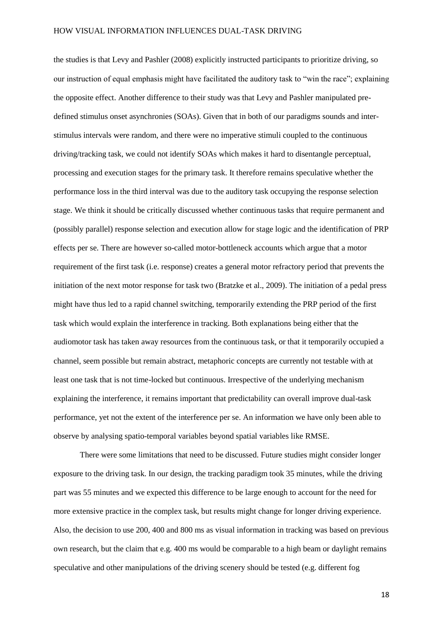the studies is that Levy and Pashler (2008) explicitly instructed participants to prioritize driving, so our instruction of equal emphasis might have facilitated the auditory task to "win the race"; explaining the opposite effect. Another difference to their study was that Levy and Pashler manipulated predefined stimulus onset asynchronies (SOAs). Given that in both of our paradigms sounds and interstimulus intervals were random, and there were no imperative stimuli coupled to the continuous driving/tracking task, we could not identify SOAs which makes it hard to disentangle perceptual, processing and execution stages for the primary task. It therefore remains speculative whether the performance loss in the third interval was due to the auditory task occupying the response selection stage. We think it should be critically discussed whether continuous tasks that require permanent and (possibly parallel) response selection and execution allow for stage logic and the identification of PRP effects per se. There are however so-called motor-bottleneck accounts which argue that a motor requirement of the first task (i.e. response) creates a general motor refractory period that prevents the initiation of the next motor response for task two (Bratzke et al., 2009). The initiation of a pedal press might have thus led to a rapid channel switching, temporarily extending the PRP period of the first task which would explain the interference in tracking. Both explanations being either that the audiomotor task has taken away resources from the continuous task, or that it temporarily occupied a channel, seem possible but remain abstract, metaphoric concepts are currently not testable with at least one task that is not time-locked but continuous. Irrespective of the underlying mechanism explaining the interference, it remains important that predictability can overall improve dual-task performance, yet not the extent of the interference per se. An information we have only been able to observe by analysing spatio-temporal variables beyond spatial variables like RMSE.

There were some limitations that need to be discussed. Future studies might consider longer exposure to the driving task. In our design, the tracking paradigm took 35 minutes, while the driving part was 55 minutes and we expected this difference to be large enough to account for the need for more extensive practice in the complex task, but results might change for longer driving experience. Also, the decision to use 200, 400 and 800 ms as visual information in tracking was based on previous own research, but the claim that e.g. 400 ms would be comparable to a high beam or daylight remains speculative and other manipulations of the driving scenery should be tested (e.g. different fog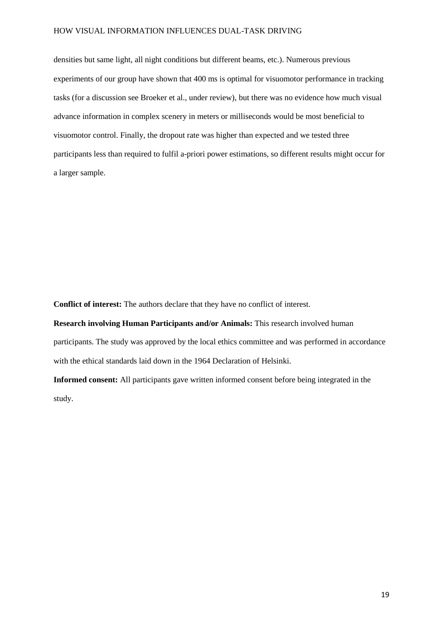densities but same light, all night conditions but different beams, etc.). Numerous previous experiments of our group have shown that 400 ms is optimal for visuomotor performance in tracking tasks (for a discussion see Broeker et al., under review), but there was no evidence how much visual advance information in complex scenery in meters or milliseconds would be most beneficial to visuomotor control. Finally, the dropout rate was higher than expected and we tested three participants less than required to fulfil a-priori power estimations, so different results might occur for a larger sample.

**Conflict of interest:** The authors declare that they have no conflict of interest.

**Research involving Human Participants and/or Animals:** This research involved human participants. The study was approved by the local ethics committee and was performed in accordance with the ethical standards laid down in the 1964 Declaration of Helsinki.

**Informed consent:** All participants gave written informed consent before being integrated in the study.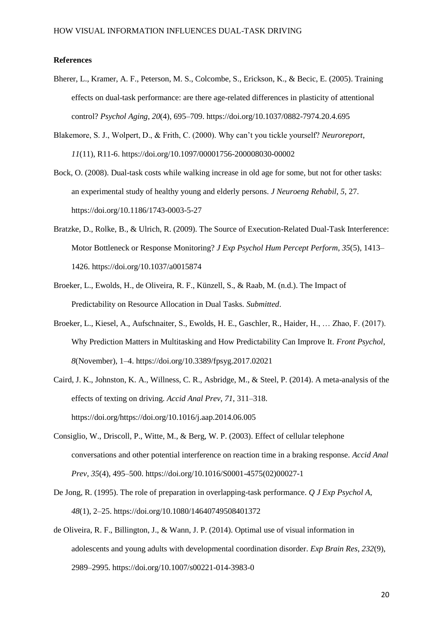#### **References**

Bherer, L., Kramer, A. F., Peterson, M. S., Colcombe, S., Erickson, K., & Becic, E. (2005). Training effects on dual-task performance: are there age-related differences in plasticity of attentional control? *Psychol Aging*, *20*(4), 695–709. https://doi.org/10.1037/0882-7974.20.4.695

Blakemore, S. J., Wolpert, D., & Frith, C. (2000). Why can't you tickle yourself? *Neuroreport*, *11*(11), R11-6. https://doi.org/10.1097/00001756-200008030-00002

Bock, O. (2008). Dual-task costs while walking increase in old age for some, but not for other tasks: an experimental study of healthy young and elderly persons. *J Neuroeng Rehabil*, *5*, 27. https://doi.org/10.1186/1743-0003-5-27

- Bratzke, D., Rolke, B., & Ulrich, R. (2009). The Source of Execution-Related Dual-Task Interference: Motor Bottleneck or Response Monitoring? *J Exp Psychol Hum Percept Perform*, *35*(5), 1413– 1426. https://doi.org/10.1037/a0015874
- Broeker, L., Ewolds, H., de Oliveira, R. F., Künzell, S., & Raab, M. (n.d.). The Impact of Predictability on Resource Allocation in Dual Tasks. *Submitted*.
- Broeker, L., Kiesel, A., Aufschnaiter, S., Ewolds, H. E., Gaschler, R., Haider, H., … Zhao, F. (2017). Why Prediction Matters in Multitasking and How Predictability Can Improve It. *Front Psychol*, *8*(November), 1–4. https://doi.org/10.3389/fpsyg.2017.02021
- Caird, J. K., Johnston, K. A., Willness, C. R., Asbridge, M., & Steel, P. (2014). A meta-analysis of the effects of texting on driving. *Accid Anal Prev*, *71*, 311–318. https://doi.org/https://doi.org/10.1016/j.aap.2014.06.005
- Consiglio, W., Driscoll, P., Witte, M., & Berg, W. P. (2003). Effect of cellular telephone conversations and other potential interference on reaction time in a braking response. *Accid Anal Prev*, *35*(4), 495–500. https://doi.org/10.1016/S0001-4575(02)00027-1
- De Jong, R. (1995). The role of preparation in overlapping-task performance. *Q J Exp Psychol A*, *48*(1), 2–25. https://doi.org/10.1080/14640749508401372
- de Oliveira, R. F., Billington, J., & Wann, J. P. (2014). Optimal use of visual information in adolescents and young adults with developmental coordination disorder. *Exp Brain Res*, *232*(9), 2989–2995. https://doi.org/10.1007/s00221-014-3983-0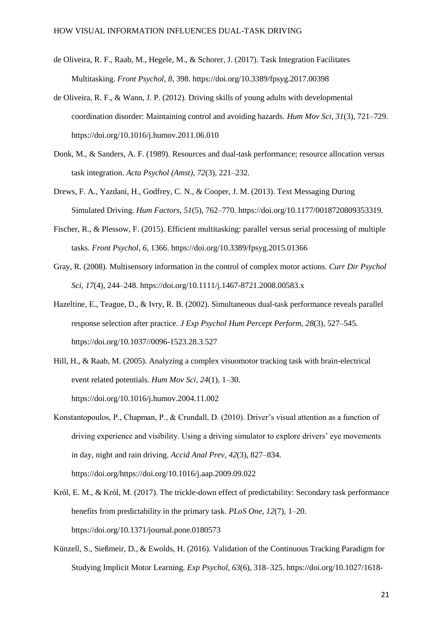- de Oliveira, R. F., Raab, M., Hegele, M., & Schorer, J. (2017). Task Integration Facilitates Multitasking. *Front Psychol*, *8*, 398. https://doi.org/10.3389/fpsyg.2017.00398
- de Oliveira, R. F., & Wann, J. P. (2012). Driving skills of young adults with developmental coordination disorder: Maintaining control and avoiding hazards. *Hum Mov Sci*, *31*(3), 721–729. https://doi.org/10.1016/j.humov.2011.06.010
- Donk, M., & Sanders, A. F. (1989). Resources and dual-task performance; resource allocation versus task integration. *Acta Psychol (Amst)*, *72*(3), 221–232.
- Drews, F. A., Yazdani, H., Godfrey, C. N., & Cooper, J. M. (2013). Text Messaging During Simulated Driving. *Hum Factors*, *51*(5), 762–770. https://doi.org/10.1177/0018720809353319.
- Fischer, R., & Plessow, F. (2015). Efficient multitasking: parallel versus serial processing of multiple tasks. *Front Psychol*, *6*, 1366. https://doi.org/10.3389/fpsyg.2015.01366
- Gray, R. (2008). Multisensory information in the control of complex motor actions. *Curr Dir Psychol Sci*, *17*(4), 244–248. https://doi.org/10.1111/j.1467-8721.2008.00583.x
- Hazeltine, E., Teague, D., & Ivry, R. B. (2002). Simultaneous dual-task performance reveals parallel response selection after practice. *J Exp Psychol Hum Percept Perform*, *28*(3), 527–545. https://doi.org/10.1037//0096-1523.28.3.527
- Hill, H., & Raab, M. (2005). Analyzing a complex visuomotor tracking task with brain-electrical event related potentials. *Hum Mov Sci*, *24*(1), 1–30. https://doi.org/10.1016/j.humov.2004.11.002
- Konstantopoulos, P., Chapman, P., & Crundall, D. (2010). Driver's visual attention as a function of driving experience and visibility. Using a driving simulator to explore drivers' eye movements in day, night and rain driving. *Accid Anal Prev*, *42*(3), 827–834. https://doi.org/https://doi.org/10.1016/j.aap.2009.09.022
- Król, E. M., & Król, M. (2017). The trickle-down effect of predictability: Secondary task performance benefits from predictability in the primary task. *PLoS One*, *12*(7), 1–20. https://doi.org/10.1371/journal.pone.0180573
- Künzell, S., Sießmeir, D., & Ewolds, H. (2016). Validation of the Continuous Tracking Paradigm for Studying Implicit Motor Learning. *Exp Psychol*, *63*(6), 318–325. https://doi.org/10.1027/1618-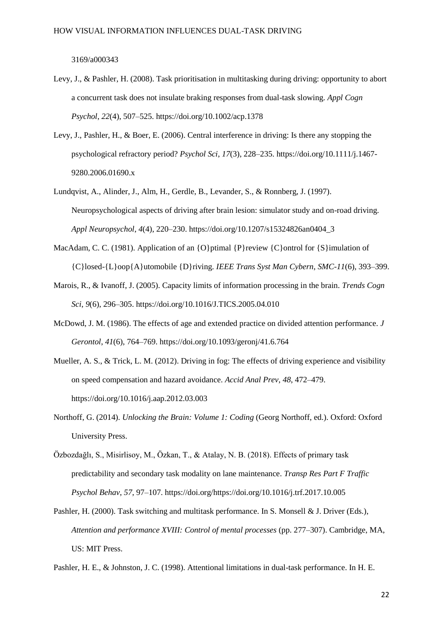3169/a000343

- Levy, J., & Pashler, H. (2008). Task prioritisation in multitasking during driving: opportunity to abort a concurrent task does not insulate braking responses from dual-task slowing. *Appl Cogn Psychol*, *22*(4), 507–525. https://doi.org/10.1002/acp.1378
- Levy, J., Pashler, H., & Boer, E. (2006). Central interference in driving: Is there any stopping the psychological refractory period? *Psychol Sci*, *17*(3), 228–235. https://doi.org/10.1111/j.1467- 9280.2006.01690.x
- Lundqvist, A., Alinder, J., Alm, H., Gerdle, B., Levander, S., & Ronnberg, J. (1997). Neuropsychological aspects of driving after brain lesion: simulator study and on-road driving. *Appl Neuropsychol*, *4*(4), 220–230. https://doi.org/10.1207/s15324826an0404\_3
- MacAdam, C. C. (1981). Application of an  ${O}$  ptimal  ${P}$ review  ${C}$ ontrol for  ${S}$ imulation of {C}losed-{L}oop{A}utomobile {D}riving. *IEEE Trans Syst Man Cybern*, *SMC*-*11*(6), 393–399.
- Marois, R., & Ivanoff, J. (2005). Capacity limits of information processing in the brain. *Trends Cogn Sci*, *9*(6), 296–305. https://doi.org/10.1016/J.TICS.2005.04.010
- McDowd, J. M. (1986). The effects of age and extended practice on divided attention performance. *J Gerontol*, *41*(6), 764–769. https://doi.org/10.1093/geronj/41.6.764
- Mueller, A. S., & Trick, L. M. (2012). Driving in fog: The effects of driving experience and visibility on speed compensation and hazard avoidance. *Accid Anal Prev*, *48*, 472–479. https://doi.org/10.1016/j.aap.2012.03.003
- Northoff, G. (2014). *Unlocking the Brain: Volume 1: Coding* (Georg Northoff, ed.). Oxford: Oxford University Press.
- Özbozdağlı, S., Misirlisoy, M., Özkan, T., & Atalay, N. B. (2018). Effects of primary task predictability and secondary task modality on lane maintenance. *Transp Res Part F Traffic Psychol Behav*, *57*, 97–107. https://doi.org/https://doi.org/10.1016/j.trf.2017.10.005
- Pashler, H. (2000). Task switching and multitask performance. In S. Monsell & J. Driver (Eds.), *Attention and performance XVIII: Control of mental processes* (pp. 277–307). Cambridge, MA, US: MIT Press.

Pashler, H. E., & Johnston, J. C. (1998). Attentional limitations in dual-task performance. In H. E.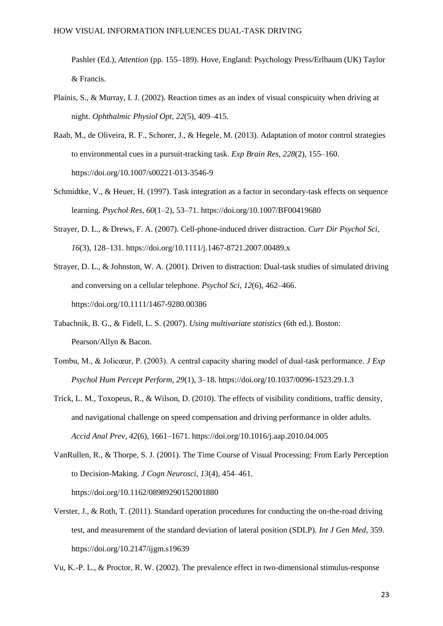Pashler (Ed.), *Attention* (pp. 155–189). Hove, England: Psychology Press/Erlbaum (UK) Taylor & Francis.

- Plainis, S., & Murray, I. J. (2002). Reaction times as an index of visual conspicuity when driving at night. *Ophthalmic Physiol Opt*, *22*(5), 409–415.
- Raab, M., de Oliveira, R. F., Schorer, J., & Hegele, M. (2013). Adaptation of motor control strategies to environmental cues in a pursuit-tracking task. *Exp Brain Res*, *228*(2), 155–160. https://doi.org/10.1007/s00221-013-3546-9
- Schmidtke, V., & Heuer, H. (1997). Task integration as a factor in secondary-task effects on sequence learning. *Psychol Res*, *60*(1–2), 53–71. https://doi.org/10.1007/BF00419680
- Strayer, D. L., & Drews, F. A. (2007). Cell-phone-induced driver distraction. *Curr Dir Psychol Sci*, *16*(3), 128–131. https://doi.org/10.1111/j.1467-8721.2007.00489.x
- Strayer, D. L., & Johnston, W. A. (2001). Driven to distraction: Dual-task studies of simulated driving and conversing on a cellular telephone. *Psychol Sci*, *12*(6), 462–466. https://doi.org/10.1111/1467-9280.00386
- Tabachnik, B. G., & Fidell, L. S. (2007). *Using multivariate statistics* (6th ed.). Boston: Pearson/Allyn & Bacon.
- Tombu, M., & Jolicœur, P. (2003). A central capacity sharing model of dual-task performance. *J Exp Psychol Hum Percept Perform*, *29*(1), 3–18. https://doi.org/10.1037/0096-1523.29.1.3
- Trick, L. M., Toxopeus, R., & Wilson, D. (2010). The effects of visibility conditions, traffic density, and navigational challenge on speed compensation and driving performance in older adults. *Accid Anal Prev*, *42*(6), 1661–1671. https://doi.org/10.1016/j.aap.2010.04.005
- VanRullen, R., & Thorpe, S. J. (2001). The Time Course of Visual Processing: From Early Perception to Decision-Making. *J Cogn Neurosci*, *13*(4), 454–461. https://doi.org/10.1162/08989290152001880
- Verster, J., & Roth, T. (2011). Standard operation procedures for conducting the on-the-road driving test, and measurement of the standard deviation of lateral position (SDLP). *Int J Gen Med*, 359. https://doi.org/10.2147/ijgm.s19639

Vu, K.-P. L., & Proctor, R. W. (2002). The prevalence effect in two-dimensional stimulus-response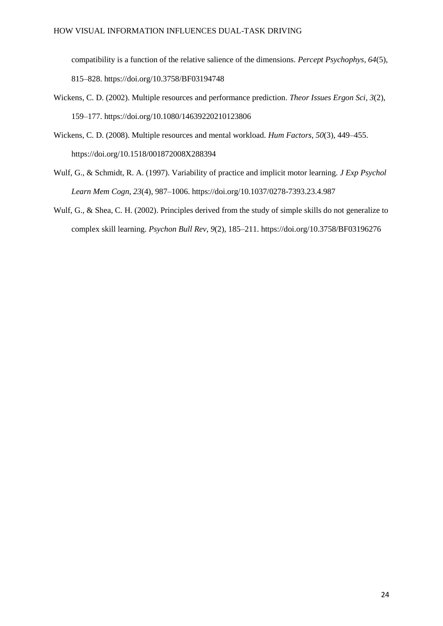compatibility is a function of the relative salience of the dimensions. *Percept Psychophys*, *64*(5), 815–828. https://doi.org/10.3758/BF03194748

- Wickens, C. D. (2002). Multiple resources and performance prediction. *Theor Issues Ergon Sci*, *3*(2), 159–177. https://doi.org/10.1080/14639220210123806
- Wickens, C. D. (2008). Multiple resources and mental workload. *Hum Factors*, *50*(3), 449–455. https://doi.org/10.1518/001872008X288394
- Wulf, G., & Schmidt, R. A. (1997). Variability of practice and implicit motor learning. *J Exp Psychol Learn Mem Cogn*, *23*(4), 987–1006. https://doi.org/10.1037/0278-7393.23.4.987
- Wulf, G., & Shea, C. H. (2002). Principles derived from the study of simple skills do not generalize to complex skill learning. *Psychon Bull Rev*, *9*(2), 185–211. https://doi.org/10.3758/BF03196276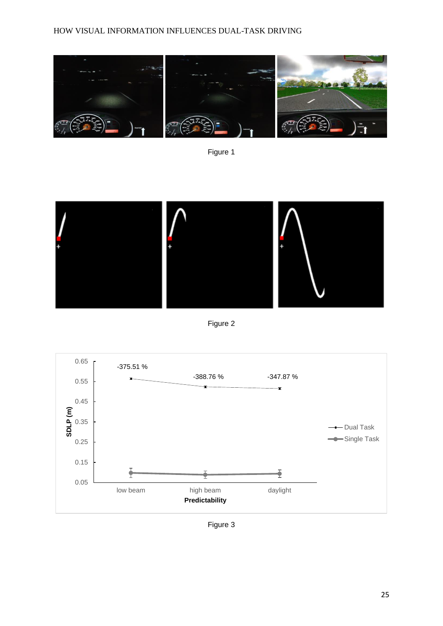

Figure 1



Figure 2



Figure 3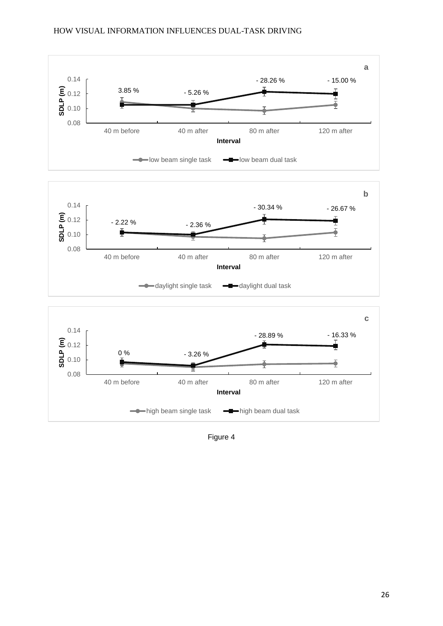

Figure 4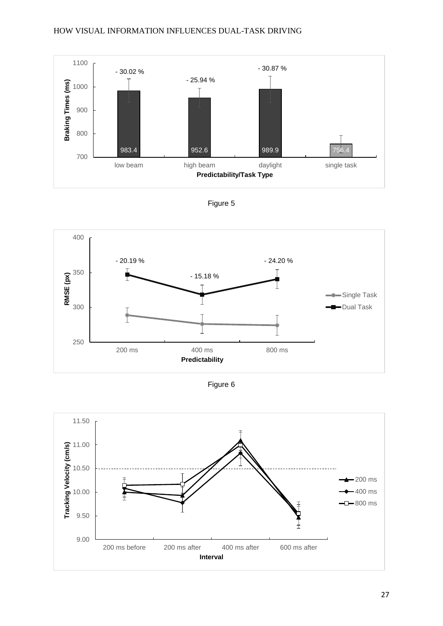







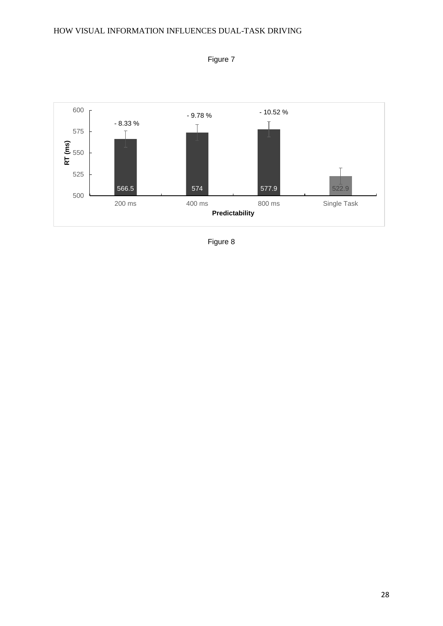



Figure 8